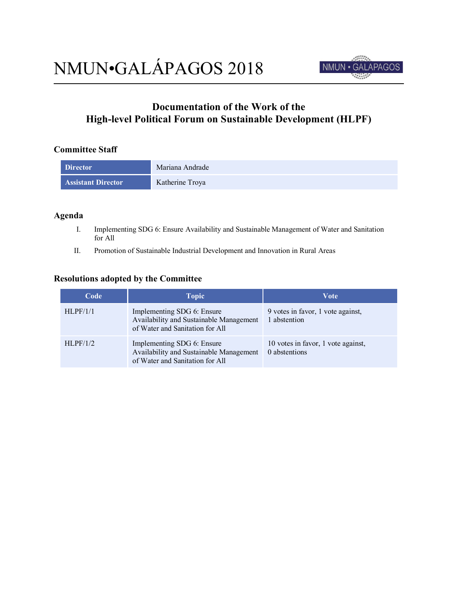

# **Documentation of the Work of the High-level Political Forum on Sustainable Development (HLPF)**

### **Committee Staff**

| <b>Director</b>           | Mariana Andrade |
|---------------------------|-----------------|
| <b>Assistant Director</b> | Katherine Troya |

### **Agenda**

- I. Implementing SDG 6: Ensure Availability and Sustainable Management of Water and Sanitation for All
- II. Promotion of Sustainable Industrial Development and Innovation in Rural Areas

#### **Resolutions adopted by the Committee**

| Code     | <b>Topic</b>                                                                                             | Vote                                                |
|----------|----------------------------------------------------------------------------------------------------------|-----------------------------------------------------|
| HLPF/1/1 | Implementing SDG 6: Ensure<br>Availability and Sustainable Management<br>of Water and Sanitation for All | 9 votes in favor, 1 vote against,<br>abstention     |
| HLPF/1/2 | Implementing SDG 6: Ensure<br>Availability and Sustainable Management<br>of Water and Sanitation for All | 10 votes in favor, 1 vote against,<br>0 abstentions |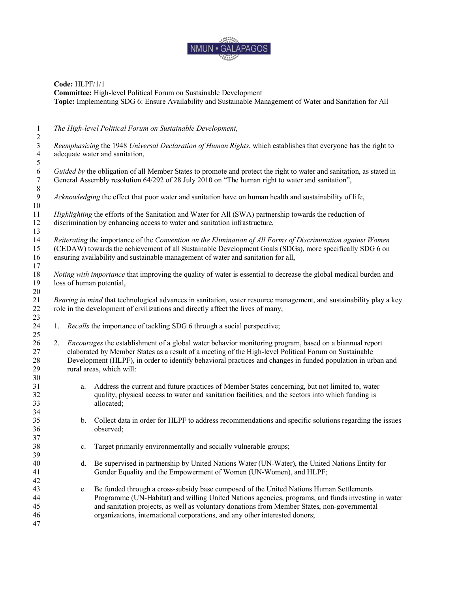

## **Code:** HLPF/1/1

**Committee:** High-level Political Forum on Sustainable Development **Topic:** Implementing SDG 6: Ensure Availability and Sustainable Management of Water and Sanitation for All

| $\mathbf{1}$<br>$\overline{c}$ |                                | The High-level Political Forum on Sustainable Development,                                                                                                                                                             |  |
|--------------------------------|--------------------------------|------------------------------------------------------------------------------------------------------------------------------------------------------------------------------------------------------------------------|--|
| $\mathfrak{Z}$                 |                                | Reemphasizing the 1948 Universal Declaration of Human Rights, which establishes that everyone has the right to                                                                                                         |  |
| $\overline{4}$                 | adequate water and sanitation, |                                                                                                                                                                                                                        |  |
| 5                              |                                |                                                                                                                                                                                                                        |  |
| 6                              |                                | Guided by the obligation of all Member States to promote and protect the right to water and sanitation, as stated in                                                                                                   |  |
| $\tau$                         |                                | General Assembly resolution 64/292 of 28 July 2010 on "The human right to water and sanitation",                                                                                                                       |  |
| $8\,$                          |                                |                                                                                                                                                                                                                        |  |
| 9                              |                                | Acknowledging the effect that poor water and sanitation have on human health and sustainability of life,                                                                                                               |  |
| 10                             |                                |                                                                                                                                                                                                                        |  |
| 11                             |                                | Highlighting the efforts of the Sanitation and Water for All (SWA) partnership towards the reduction of                                                                                                                |  |
| 12                             |                                | discrimination by enhancing access to water and sanitation infrastructure,                                                                                                                                             |  |
| 13                             |                                |                                                                                                                                                                                                                        |  |
| 14                             |                                | Reiterating the importance of the Convention on the Elimination of All Forms of Discrimination against Women                                                                                                           |  |
| 15                             |                                | (CEDAW) towards the achievement of all Sustainable Development Goals (SDGs), more specifically SDG 6 on                                                                                                                |  |
| 16                             |                                | ensuring availability and sustainable management of water and sanitation for all,                                                                                                                                      |  |
| 17                             |                                |                                                                                                                                                                                                                        |  |
| 18                             |                                | Noting with importance that improving the quality of water is essential to decrease the global medical burden and                                                                                                      |  |
| 19                             | loss of human potential,       |                                                                                                                                                                                                                        |  |
| 20                             |                                |                                                                                                                                                                                                                        |  |
| 21                             |                                | Bearing in mind that technological advances in sanitation, water resource management, and sustainability play a key                                                                                                    |  |
| 22                             |                                | role in the development of civilizations and directly affect the lives of many,                                                                                                                                        |  |
| 23                             |                                |                                                                                                                                                                                                                        |  |
| 24                             | 1.                             | <i>Recalls</i> the importance of tackling SDG 6 through a social perspective;                                                                                                                                          |  |
| 25                             |                                |                                                                                                                                                                                                                        |  |
| 26<br>27                       | 2.                             | <i>Encourages</i> the establishment of a global water behavior monitoring program, based on a biannual report<br>elaborated by Member States as a result of a meeting of the High-level Political Forum on Sustainable |  |
| 28                             |                                | Development (HLPF), in order to identify behavioral practices and changes in funded population in urban and                                                                                                            |  |
| 29                             |                                | rural areas, which will:                                                                                                                                                                                               |  |
| 30                             |                                |                                                                                                                                                                                                                        |  |
| 31                             | a.                             | Address the current and future practices of Member States concerning, but not limited to, water                                                                                                                        |  |
| 32                             |                                | quality, physical access to water and sanitation facilities, and the sectors into which funding is                                                                                                                     |  |
| 33                             |                                | allocated;                                                                                                                                                                                                             |  |
| 34                             |                                |                                                                                                                                                                                                                        |  |
| 35                             | $b_{-}$                        | Collect data in order for HLPF to address recommendations and specific solutions regarding the issues                                                                                                                  |  |
| 36                             |                                | observed;                                                                                                                                                                                                              |  |
| 37                             |                                |                                                                                                                                                                                                                        |  |
| 38                             | c.                             | Target primarily environmentally and socially vulnerable groups;                                                                                                                                                       |  |
| 39                             |                                |                                                                                                                                                                                                                        |  |
| 40                             | d.                             | Be supervised in partnership by United Nations Water (UN-Water), the United Nations Entity for                                                                                                                         |  |
| 41                             |                                | Gender Equality and the Empowerment of Women (UN-Women), and HLPF;                                                                                                                                                     |  |
| 42                             |                                |                                                                                                                                                                                                                        |  |
| 43                             | e.                             | Be funded through a cross-subsidy base composed of the United Nations Human Settlements                                                                                                                                |  |
| 44                             |                                | Programme (UN-Habitat) and willing United Nations agencies, programs, and funds investing in water                                                                                                                     |  |
| 45                             |                                | and sanitation projects, as well as voluntary donations from Member States, non-governmental                                                                                                                           |  |
| 46                             |                                | organizations, international corporations, and any other interested donors;                                                                                                                                            |  |
| 47                             |                                |                                                                                                                                                                                                                        |  |
|                                |                                |                                                                                                                                                                                                                        |  |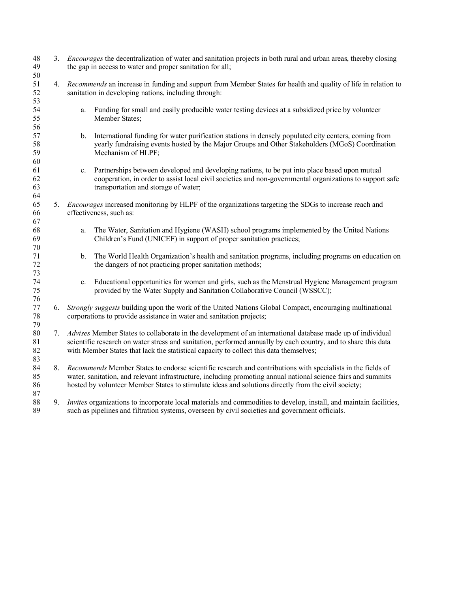| 48<br>49<br>50                |                                                            | 3. <i>Encourages</i> the decentralization of water and sanitation projects in both rural and urban areas, thereby closing<br>the gap in access to water and proper sanitation for all;                                                                                                                                              |                                                                                                                                                                                                                                                   |
|-------------------------------|------------------------------------------------------------|-------------------------------------------------------------------------------------------------------------------------------------------------------------------------------------------------------------------------------------------------------------------------------------------------------------------------------------|---------------------------------------------------------------------------------------------------------------------------------------------------------------------------------------------------------------------------------------------------|
| 51<br>52<br>53                | 4.<br>sanitation in developing nations, including through: |                                                                                                                                                                                                                                                                                                                                     | Recommends an increase in funding and support from Member States for health and quality of life in relation to                                                                                                                                    |
| 54<br>55<br>56                |                                                            | a.                                                                                                                                                                                                                                                                                                                                  | Funding for small and easily producible water testing devices at a subsidized price by volunteer<br>Member States;                                                                                                                                |
| 57<br>58<br>59<br>60          |                                                            | b.                                                                                                                                                                                                                                                                                                                                  | International funding for water purification stations in densely populated city centers, coming from<br>yearly fundraising events hosted by the Major Groups and Other Stakeholders (MGoS) Coordination<br>Mechanism of HLPF;                     |
| 61<br>62<br>63<br>64          |                                                            | $\mathbf{c}$ .                                                                                                                                                                                                                                                                                                                      | Partnerships between developed and developing nations, to be put into place based upon mutual<br>cooperation, in order to assist local civil societies and non-governmental organizations to support safe<br>transportation and storage of water; |
| 65<br>66<br>67                | 5.                                                         | <i>Encourages</i> increased monitoring by HLPF of the organizations targeting the SDGs to increase reach and<br>effectiveness, such as:                                                                                                                                                                                             |                                                                                                                                                                                                                                                   |
| 68<br>69<br>70                |                                                            | a.                                                                                                                                                                                                                                                                                                                                  | The Water, Sanitation and Hygiene (WASH) school programs implemented by the United Nations<br>Children's Fund (UNICEF) in support of proper sanitation practices;                                                                                 |
| 71<br>72<br>73                |                                                            | b.                                                                                                                                                                                                                                                                                                                                  | The World Health Organization's health and sanitation programs, including programs on education on<br>the dangers of not practicing proper sanitation methods;                                                                                    |
| 74<br>75<br>76                |                                                            | $\mathbf{c}$ .                                                                                                                                                                                                                                                                                                                      | Educational opportunities for women and girls, such as the Menstrual Hygiene Management program<br>provided by the Water Supply and Sanitation Collaborative Council (WSSCC);                                                                     |
| 77<br>78<br>79                | 6.                                                         | Strongly suggests building upon the work of the United Nations Global Compact, encouraging multinational<br>corporations to provide assistance in water and sanitation projects;                                                                                                                                                    |                                                                                                                                                                                                                                                   |
| 80<br>$8\sqrt{1}$<br>82<br>83 | 7.                                                         | Advises Member States to collaborate in the development of an international database made up of individual<br>scientific research on water stress and sanitation, performed annually by each country, and to share this data<br>with Member States that lack the statistical capacity to collect this data themselves;              |                                                                                                                                                                                                                                                   |
| 84<br>85<br>86<br>87          | 8.                                                         | Recommends Member States to endorse scientific research and contributions with specialists in the fields of<br>water, sanitation, and relevant infrastructure, including promoting annual national science fairs and summits<br>hosted by volunteer Member States to stimulate ideas and solutions directly from the civil society; |                                                                                                                                                                                                                                                   |
| 88<br>89                      | 9.                                                         | <i>Invites</i> organizations to incorporate local materials and commodities to develop, install, and maintain facilities,<br>such as pipelines and filtration systems, overseen by civil societies and government officials.                                                                                                        |                                                                                                                                                                                                                                                   |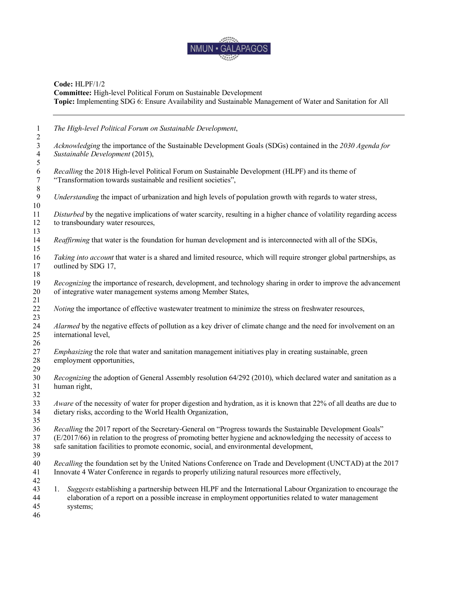

**Code:** HLPF/1/2

**Committee:** High-level Political Forum on Sustainable Development **Topic:** Implementing SDG 6: Ensure Availability and Sustainable Management of Water and Sanitation for All

| $\mathbf{1}$<br>$\sqrt{2}$            | The High-level Political Forum on Sustainable Development,                                                                                                                                                                                                                                                               |
|---------------------------------------|--------------------------------------------------------------------------------------------------------------------------------------------------------------------------------------------------------------------------------------------------------------------------------------------------------------------------|
| $\mathfrak{Z}$<br>$\overline{4}$<br>5 | Acknowledging the importance of the Sustainable Development Goals (SDGs) contained in the 2030 Agenda for<br>Sustainable Development (2015),                                                                                                                                                                             |
| $\sqrt{6}$<br>$\tau$                  | Recalling the 2018 High-level Political Forum on Sustainable Development (HLPF) and its theme of<br>"Transformation towards sustainable and resilient societies",                                                                                                                                                        |
| $\,8\,$<br>$\boldsymbol{9}$<br>10     | Understanding the impact of urbanization and high levels of population growth with regards to water stress,                                                                                                                                                                                                              |
| 11<br>12<br>13                        | Disturbed by the negative implications of water scarcity, resulting in a higher chance of volatility regarding access<br>to transboundary water resources,                                                                                                                                                               |
| 14<br>15                              | Reaffirming that water is the foundation for human development and is interconnected with all of the SDGs,                                                                                                                                                                                                               |
| 16<br>17<br>18                        | Taking into account that water is a shared and limited resource, which will require stronger global partnerships, as<br>outlined by SDG 17,                                                                                                                                                                              |
| 19<br>20<br>21                        | Recognizing the importance of research, development, and technology sharing in order to improve the advancement<br>of integrative water management systems among Member States,                                                                                                                                          |
| 22<br>23                              | Noting the importance of effective wastewater treatment to minimize the stress on freshwater resources,                                                                                                                                                                                                                  |
| 24<br>25                              | Alarmed by the negative effects of pollution as a key driver of climate change and the need for involvement on an<br>international level,                                                                                                                                                                                |
| 26<br>27<br>28<br>29                  | <i>Emphasizing</i> the role that water and sanitation management initiatives play in creating sustainable, green<br>employment opportunities,                                                                                                                                                                            |
| 30<br>31<br>32                        | Recognizing the adoption of General Assembly resolution 64/292 (2010), which declared water and sanitation as a<br>human right,                                                                                                                                                                                          |
| 33<br>34<br>35                        | Aware of the necessity of water for proper digestion and hydration, as it is known that 22% of all deaths are due to<br>dietary risks, according to the World Health Organization,                                                                                                                                       |
| 36<br>37<br>38<br>39                  | Recalling the 2017 report of the Secretary-General on "Progress towards the Sustainable Development Goals"<br>(E/2017/66) in relation to the progress of promoting better hygiene and acknowledging the necessity of access to<br>safe sanitation facilities to promote economic, social, and environmental development, |
| 40<br>41                              | Recalling the foundation set by the United Nations Conference on Trade and Development (UNCTAD) at the 2017<br>Innovate 4 Water Conference in regards to properly utilizing natural resources more effectively,                                                                                                          |
| 42<br>43<br>44<br>45<br>46            | Suggests establishing a partnership between HLPF and the International Labour Organization to encourage the<br>1.<br>elaboration of a report on a possible increase in employment opportunities related to water management<br>systems;                                                                                  |